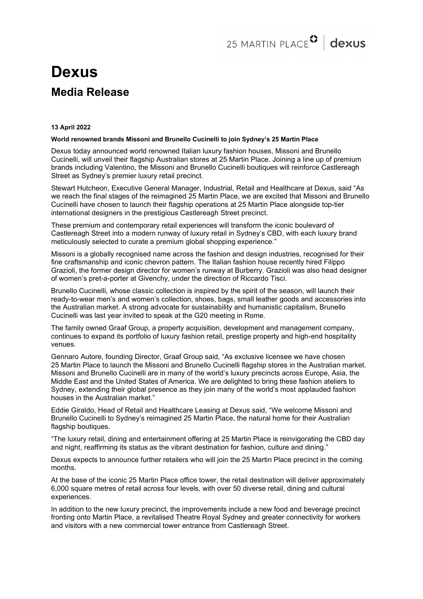# **Dexus Media Release**

### **13 April 2022**

## **World renowned brands Missoni and Brunello Cucinelli to join Sydney's 25 Martin Place**

Dexus today announced world renowned Italian luxury fashion houses, Missoni and Brunello Cucinelli, will unveil their flagship Australian stores at 25 Martin Place. Joining a line up of premium brands including Valentino, the Missoni and Brunello Cucinelli boutiques will reinforce Castlereagh Street as Sydney's premier luxury retail precinct.

Stewart Hutcheon, Executive General Manager, Industrial, Retail and Healthcare at Dexus, said "As we reach the final stages of the reimagined 25 Martin Place, we are excited that Missoni and Brunello Cucinelli have chosen to launch their flagship operations at 25 Martin Place alongside top-tier international designers in the prestigious Castlereagh Street precinct.

These premium and contemporary retail experiences will transform the iconic boulevard of Castlereagh Street into a modern runway of luxury retail in Sydney's CBD, with each luxury brand meticulously selected to curate a premium global shopping experience."

Missoni is a globally recognised name across the fashion and design industries, recognised for their fine craftsmanship and iconic chevron pattern. The Italian fashion house recently hired Filippo Grazioli, the former design director for women's runway at Burberry. Grazioli was also head designer of women's pret-a-porter at Givenchy, under the direction of Riccardo Tisci.

Brunello Cucinelli, whose classic collection is inspired by the spirit of the season, will launch their ready-to-wear men's and women's collection, shoes, bags, small leather goods and accessories into the Australian market. A strong advocate for sustainability and humanistic capitalism, Brunello Cucinelli was last year invited to speak at the G20 meeting in Rome.

The family owned Graaf Group, a property acquisition, development and management company, continues to expand its portfolio of luxury fashion retail, prestige property and high-end hospitality venues.

Gennaro Autore, founding Director, Graaf Group said, "As exclusive licensee we have chosen 25 Martin Place to launch the Missoni and Brunello Cucinelli flagship stores in the Australian market. Missoni and Brunello Cucinelli are in many of the world's luxury precincts across Europe, Asia, the Middle East and the United States of America. We are delighted to bring these fashion ateliers to Sydney, extending their global presence as they join many of the world's most applauded fashion houses in the Australian market."

Eddie Giraldo, Head of Retail and Healthcare Leasing at Dexus said, "We welcome Missoni and Brunello Cucinelli to Sydney's reimagined 25 Martin Place, the natural home for their Australian flagship boutiques.

"The luxury retail, dining and entertainment offering at 25 Martin Place is reinvigorating the CBD day and night, reaffirming its status as the vibrant destination for fashion, culture and dining."

Dexus expects to announce further retailers who will join the 25 Martin Place precinct in the coming months.

At the base of the iconic 25 Martin Place office tower, the retail destination will deliver approximately 6,000 square metres of retail across four levels, with over 50 diverse retail, dining and cultural experiences.

In addition to the new luxury precinct, the improvements include a new food and beverage precinct fronting onto Martin Place, a revitalised Theatre Royal Sydney and greater connectivity for workers and visitors with a new commercial tower entrance from Castlereagh Street.